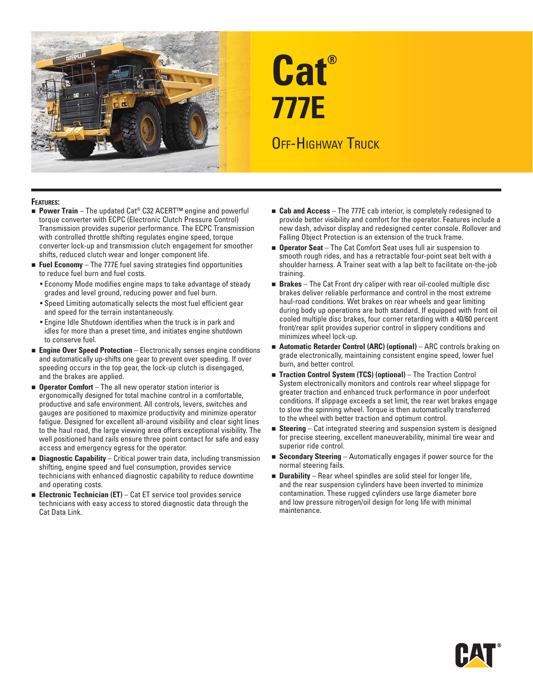

# **Cat® 777E OFF-HIGHWAY TRUCK**

## **FEATURES:**

- **Power Train** The updated Cat<sup>®</sup> C32 ACERT<sup>™</sup> engine and powerful torque converter with ECPC (Electronic Clutch Pressure Control) Transmission provides superior performance. The ECPC Transmission with controlled throttle shifting regulates engine speed, torque converter lock-up and transmission clutch engagement for smoother shifts, reduced clutch wear and longer component life.
- **Fuel Economy**  The 777E fuel saving strategies find opportunities to reduce fuel burn and fuel costs.
	- Economy Mode modifies engine maps to take advantage of steady grades and level ground, reducing power and fuel burn.
	- Speed Limiting automatically selects the most fuel efficient gear and speed for the terrain instantaneously.
	- Engine Idle Shutdown identifies when the truck is in park and idles for more than a preset time, and initiates engine shutdown to conserve fuel.
- **Engine Over Speed Protection** Electronically senses engine conditions and automatically up-shifts one gear to prevent over speeding. If over speeding occurs in the top gear, the lock-up clutch is disengaged, and the brakes are applied.
- **Deerator Comfort** The all new operator station interior is ergonomically designed for total machine control in a comfortable, productive and safe environment. All controls, levers, switches and gauges are positioned to maximize productivity and minimize operator fatigue. Designed for excellent all-around visibility and clear sight lines to the haul road, the large viewing area offers exceptional visibility. The well positioned hand rails ensure three point contact for safe and easy access and emergency egress for the operator.
- **Diagnostic Capability** Critical power train data, including transmission shifting, engine speed and fuel consumption, provides service technicians with enhanced diagnostic capability to reduce downtime and operating costs.
- **Electronic Technician (ET)** Cat ET service tool provides service technicians with easy access to stored diagnostic data through the Cat Data Link.
- **Cab and Access** The 777E cab interior, is completely redesigned to provide better visibility and comfort for the operator. Features include a new dash, advisor display and redesigned center console. Rollover and Falling Object Protection is an extension of the truck frame.
- **Operator Seat** The Cat Comfort Seat uses full air suspension to smooth rough rides, and has a retractable four-point seat belt with a shoulder harness. A Trainer seat with a lap belt to facilitate on-the-job training.
- **Brakes** The Cat Front dry caliper with rear oil-cooled multiple disc brakes deliver reliable performance and control in the most extreme haul-road conditions. Wet brakes on rear wheels and gear limiting during body up operations are both standard. If equipped with front oil cooled multiple disc brakes, four corner retarding with a 40/60 percent front/rear split provides superior control in slippery conditions and minimizes wheel lock-up.
- **Automatic Retarder Control (ARC) (optional)** ARC controls braking on grade electronically, maintaining consistent engine speed, lower fuel burn, and better control.
- **Traction Control System (TCS) (optional)** The Traction Control System electronically monitors and controls rear wheel slippage for greater traction and enhanced truck performance in poor underfoot conditions. If slippage exceeds a set limit, the rear wet brakes engage to slow the spinning wheel. Torque is then automatically transferred to the wheel with better traction and optimum control.
- **Steering** Cat integrated steering and suspension system is designed for precise steering, excellent maneuverability, minimal tire wear and superior ride control.
- **Secondary Steering** Automatically engages if power source for the normal steering fails.
- **Durability** Rear wheel spindles are solid steel for longer life, and the rear suspension cylinders have been inverted to minimize contamination. These rugged cylinders use large diameter bore and low pressure nitrogen/oil design for long life with minimal maintenance.

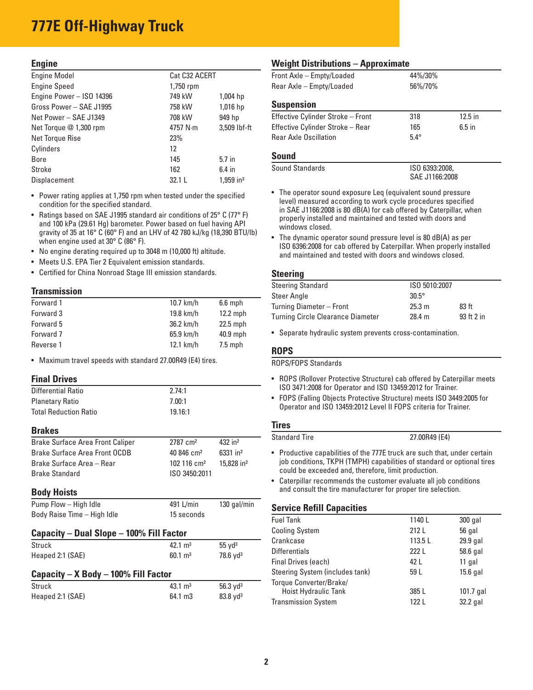# **777E Off-Highway Truck**

# **Engine**

| <b>Engine Model</b>      | Cat C32 ACERT |                         |
|--------------------------|---------------|-------------------------|
| <b>Engine Speed</b>      | 1,750 rpm     |                         |
| Engine Power - ISO 14396 | 749 kW        | $1,004$ hp              |
| Gross Power - SAE J1995  | 758 kW        | 1,016 hp                |
| Net Power - SAE J1349    | 708 kW        | 949 hp                  |
| Net Torque @ 1,300 rpm   | 4757 N·m      | 3,509 lbf-ft            |
| Net Torque Rise          | 23%           |                         |
| Cylinders                | 12            |                         |
| Bore                     | 145           | $5.7$ in                |
| <b>Stroke</b>            | 162           | $6.4$ in                |
| Displacement             | 32.1 L        | $1.959$ in <sup>3</sup> |

• Power rating applies at 1,750 rpm when tested under the specified condition for the specified standard.

- Ratings based on SAE J1995 standard air conditions of 25° C (77° F) and 100 kPa (29.61 Hg) barometer. Power based on fuel having API gravity of 35 at 16° C (60° F) and an LHV of 42 780 kJ/kg (18,390 BTU/lb) when engine used at 30° C (86° F).
- No engine derating required up to 3048 m (10,000 ft) altitude.
- Meets U.S. EPA Tier 2 Equivalent emission standards.
- Certified for China Nonroad Stage III emission standards.

## **Transmission**

| Forward 1 | 10.7 km/h   | $6.6$ mph  |
|-----------|-------------|------------|
| Forward 3 | 19.8 km/h   | $12.2$ mph |
| Forward 5 | 36.2 km/h   | $22.5$ mph |
| Forward 7 | $65.9$ km/h | $40.9$ mph |
| Reverse 1 | $12.1$ km/h | $7.5$ mph  |

• Maximum travel speeds with standard 27.00R49 (E4) tires.

## **Final Drives**

| Differential Ratio           | 2.74:1  |
|------------------------------|---------|
| <b>Planetary Ratio</b>       | 7.00:1  |
| <b>Total Reduction Ratio</b> | 19.16:1 |

#### **Brakes**

| <b>Brake Surface Area Front Caliper</b> | 2787 cm <sup>2</sup>     | $432$ in <sup>2</sup>    |
|-----------------------------------------|--------------------------|--------------------------|
| Brake Surface Area Front OCDB           | $40.846$ cm <sup>2</sup> | $6331$ in <sup>2</sup>   |
| Brake Surface Area - Rear               | $102116 \text{ cm}^2$    | $15.828$ in <sup>2</sup> |
| <b>Brake Standard</b>                   | ISO 3450:2011            |                          |

# **Body Hoists**

| Pump Flow - High Idle       | 491 L/min  | 130 gal/min |
|-----------------------------|------------|-------------|
| Body Raise Time - High Idle | 15 seconds |             |

# **Capacity – Dual Slope – 100% Fill Factor**

| Struck                                    | $42.1 \text{ m}^3$ | $55 \text{ yd}^3$   |  |  |  |  |
|-------------------------------------------|--------------------|---------------------|--|--|--|--|
| Heaped 2:1 (SAE)                          | $60.1 \text{ m}^3$ | $78.6 \text{ yd}^3$ |  |  |  |  |
| Capacity $- X$ Body $- 100\%$ Fill Factor |                    |                     |  |  |  |  |
| Struck                                    | $43.1 \text{ m}^3$ | 56.3 $Vd^3$         |  |  |  |  |
| Heaped 2:1 (SAE)                          | 64.1 m3            | $83.8 \text{ yd}^3$ |  |  |  |  |

# **Weight Distributions – Approximate**

| Front Axle - Empty/Loaded | 44%/30% |
|---------------------------|---------|
| Rear Axle - Empty/Loaded  | 56%/70% |
|                           |         |
| <b>Suspension</b>         |         |

| $-$ 30,000 $-$ 30,000 $-$         |            |           |  |
|-----------------------------------|------------|-----------|--|
| Effective Cylinder Stroke - Front | 318        | $12.5$ in |  |
| Effective Cylinder Stroke - Rear  | 165        | $6.5$ in  |  |
| <b>Rear Axle Oscillation</b>      | $54^\circ$ |           |  |
|                                   |            |           |  |

# **Sound**

| Sound Standards | ISO 6393:2008, |
|-----------------|----------------|
|                 | SAE J1166:2008 |

- The operator sound exposure Leq (equivalent sound pressure level) measured according to work cycle procedures specified in SAE J1166:2008 is 80 dB(A) for cab offered by Caterpillar, when properly installed and maintained and tested with doors and windows closed.
- The dynamic operator sound pressure level is 80 dB(A) as per ISO 6396:2008 for cab offered by Caterpillar. When properly installed and maintained and tested with doors and windows closed.

# **Steering**

| ISO 5010:2007 |                  |
|---------------|------------------|
| $30.5^\circ$  |                  |
| 25.3 m        | 83 <sub>ft</sub> |
| 28.4 m        | 93 ft 2 in       |
|               |                  |

• Separate hydraulic system prevents cross-contamination.

# **ROPS**

ROPS/FOPS Standards

- ROPS (Rollover Protective Structure) cab offered by Caterpillar meets ISO 3471:2008 for Operator and ISO 13459:2012 for Trainer.
- FOPS (Falling Objects Protective Structure) meets ISO 3449:2005 for Operator and ISO 13459:2012 Level II FOPS criteria for Trainer.

# **Tires**

Standard Tire 27.00R49 (E4)

- Productive capabilities of the 777E truck are such that, under certain job conditions, TKPH (TMPH) capabilities of standard or optional tires could be exceeded and, therefore, limit production.
- Caterpillar recommends the customer evaluate all job conditions and consult the tire manufacturer for proper tire selection.

# **Service Refill Capacities**

| <b>Fuel Tank</b>                | 1140L  | 300 gal     |
|---------------------------------|--------|-------------|
| <b>Cooling System</b>           | 212L   | 56 gal      |
| Crankcase                       | 113.5L | 29.9 gal    |
| <b>Differentials</b>            | 222 L  | 58.6 gal    |
| Final Drives (each)             | 42 L   | 11 gal      |
| Steering System (includes tank) | 59 L   | $15.6$ gal  |
| Torque Converter/Brake/         |        |             |
| Hoist Hydraulic Tank            | 385 L  | $101.7$ gal |
| <b>Transmission System</b>      | 122 L  | 32.2 gal    |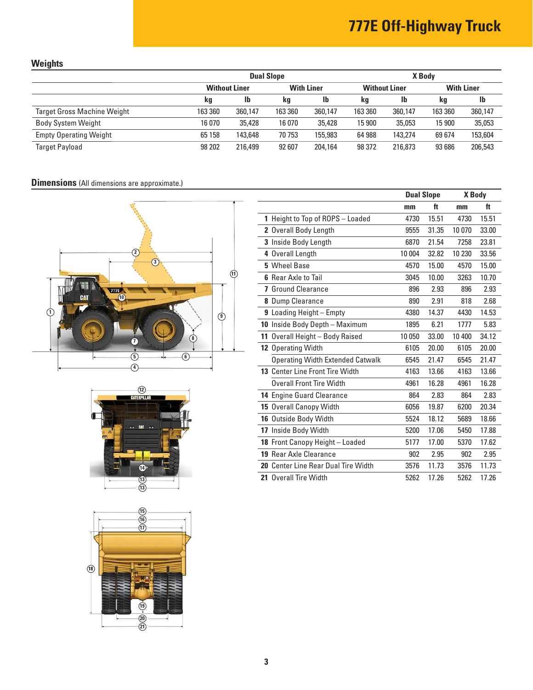# **777E Off-Highway Truck**

# **Weights**

|                                    | <b>Dual Slope</b>    |         |                   | X Body  |                      |           |                   |         |
|------------------------------------|----------------------|---------|-------------------|---------|----------------------|-----------|-------------------|---------|
|                                    | <b>Without Liner</b> |         | <b>With Liner</b> |         | <b>Without Liner</b> |           | <b>With Liner</b> |         |
|                                    | kg                   | Ib      | kg                | lb      | kg                   | <b>Ib</b> | kg                | lb      |
| <b>Target Gross Machine Weight</b> | 163 360              | 360.147 | 163 360           | 360.147 | 163 360              | 360.147   | 163 360           | 360,147 |
| <b>Body System Weight</b>          | 16 070               | 35,428  | 16 070            | 35,428  | 15 900               | 35,053    | 15 900            | 35,053  |
| <b>Empty Operating Weight</b>      | 65 158               | 143,648 | 70 753            | 155,983 | 64 988               | 143.274   | 69674             | 153,604 |
| <b>Target Payload</b>              | 98 202               | 216,499 | 92 607            | 204,164 | 98 372               | 216,873   | 93 686            | 206,543 |

# **Dimensions** (All dimensions are approximate.)







|                                         | <b>Dual Slope</b> |       | X Body  |       |
|-----------------------------------------|-------------------|-------|---------|-------|
|                                         | mm                | ft    | mm      | ft    |
| 1 Height to Top of ROPS - Loaded        | 4730              | 15.51 | 4730    | 15.51 |
| 2 Overall Body Length                   | 9555              | 31.35 | 10 0 70 | 33.00 |
| 3 Inside Body Length                    | 6870              | 21.54 | 7258    | 23.81 |
| 4 Overall Length                        | 10 004            | 32.82 | 10 230  | 33.56 |
| 5 Wheel Base                            | 4570              | 15.00 | 4570    | 15.00 |
| <b>6</b> Rear Axle to Tail              | 3045              | 10.00 | 3263    | 10.70 |
| <b>7</b> Ground Clearance               | 896               | 2.93  | 896     | 2.93  |
| 8 Dump Clearance                        | 890               | 2.91  | 818     | 2.68  |
| 9 Loading Height - Empty                | 4380              | 14.37 | 4430    | 14.53 |
| 10 Inside Body Depth - Maximum          | 1895              | 6.21  | 1777    | 5.83  |
| 11 Overall Height - Body Raised         | 10 050            | 33.00 | 10 400  | 34.12 |
| 12 Operating Width                      | 6105              | 20.00 | 6105    | 20.00 |
| <b>Operating Width Extended Catwalk</b> | 6545              | 21.47 | 6545    | 21.47 |
| 13 Center Line Front Tire Width         | 4163              | 13.66 | 4163    | 13.66 |
| <b>Overall Front Tire Width</b>         | 4961              | 16.28 | 4961    | 16.28 |
| 14 Engine Guard Clearance               | 864               | 2.83  | 864     | 2.83  |
| 15 Overall Canopy Width                 | 6056              | 19.87 | 6200    | 20.34 |
| 16 Outside Body Width                   | 5524              | 18.12 | 5689    | 18.66 |
| 17 Inside Body Width                    | 5200              | 17.06 | 5450    | 17.88 |
| 18 Front Canopy Height - Loaded         | 5177              | 17.00 | 5370    | 17.62 |
| 19 Rear Axle Clearance                  | 902               | 2.95  | 902     | 2.95  |
| 20 Center Line Rear Dual Tire Width     | 3576              | 11.73 | 3576    | 11.73 |
| 21 Overall Tire Width                   | 5262              | 17.26 | 5262    | 17.26 |